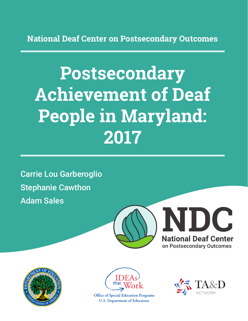**National Deaf Center on Postsecondary Outcomes**

# **Postsecondary Achievement of Deaf People in Maryland: 2017**

Carrie Lou Garberoglio Stephanie Cawthon Adam Sales







**Office of Special Education Programs U.S. Department of Education** 

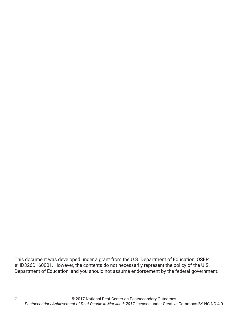This document was developed under a grant from the U.S. Department of Education, OSEP #HD326D160001. However, the contents do not necessarily represent the policy of the U.S. Department of Education, and you should not assume endorsement by the federal government.

2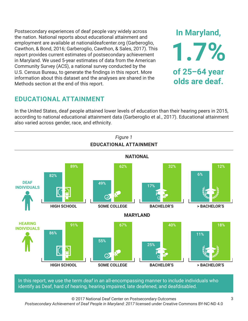Postsecondary experiences of deaf people vary widely across the nation. National reports about educational attainment and employment are available at nationaldeafcenter.org (Garberoglio, Cawthon, & Bond, 2016; Garberoglio, Cawthon, & Sales, 2017). This report provides current estimates of postsecondary achievement in Maryland. We used 5-year estimates of data from the American Community Survey (ACS), a national survey conducted by the U.S. Census Bureau, to generate the findings in this report. More information about this dataset and the analyses are shared in the Methods section at the end of this report.

# **EDUCATIONAL ATTAINMENT**

In the United States, deaf people attained lower levels of education than their hearing peers in 2015, according to national educational attainment data (Garberoglio et al., 2017). Educational attainment also varied across gender, race, and ethnicity.



In this report, we use the term *deaf* in an all-encompassing manner to include individuals who identify as Deaf, hard of hearing, hearing impaired, late deafened, and deafdisabled.

© 2017 National Deaf Center on Postsecondary Outcomes

*Postsecondary Achievement of Deaf People in Maryland: 2017* licensed under Creative Commons BY-NC-ND 4.0

**In Maryland,**

**1.7%**

**of 25–64 year**

**olds are deaf.**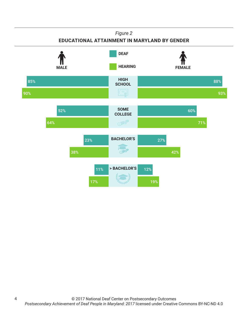### *Figure 2*

### **EDUCATIONAL ATTAINMENT IN MARYLAND BY GENDER**



4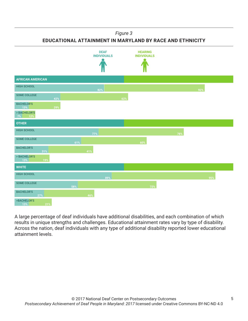#### *Figure 3*

**EDUCATIONAL ATTAINMENT IN MARYLAND BY RACE AND ETHNICITY**



A large percentage of deaf individuals have additional disabilities, and each combination of which results in unique strengths and challenges. Educational attainment rates vary by type of disability. Across the nation, deaf individuals with any type of additional disability reported lower educational attainment levels.

5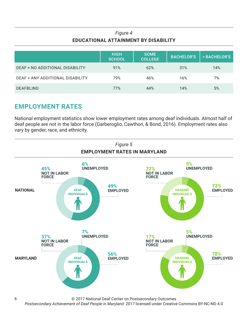## *Figure 4* **EDUCATIONAL ATTAINMENT BY DISABILITY**

|                                  | <b>HIGH</b><br><b>SCHOOL</b> | <b>SOME</b><br><b>COLLEGE</b> | <b>BACHELOR'S</b> | > BACHELOR'S |
|----------------------------------|------------------------------|-------------------------------|-------------------|--------------|
| DEAF + NO ADDITIONAL DISABILITY  | 91%                          | 62%                           | 31%               | 14%          |
| DEAF + ANY ADDITIONAL DISABILITY | 79%                          | 46%                           | 16%               | 7%           |
| <b>DEAFBLIND</b>                 | 77%                          | 44%                           | 14%               | 5%           |

# **EMPLOYMENT RATES**

6

National employment statistics show lower employment rates among deaf individuals. Almost half of deaf people are not in the labor force (Garberoglio, Cawthon, & Bond, 2016). Employment rates also vary by gender, race, and ethnicity.



© 2017 National Deaf Center on Postsecondary Outcomes

*Postsecondary Achievement of Deaf People in Maryland: 2017* licensed under Creative Commons BY-NC-ND 4.0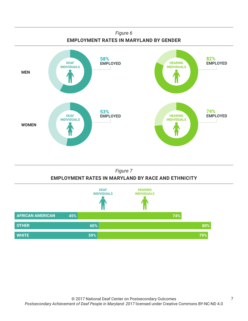



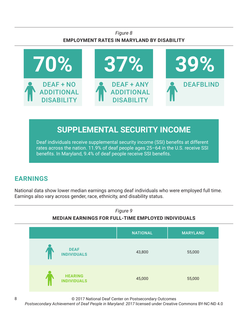## *Figure 8* **EMPLOYMENT RATES IN MARYLAND BY DISABILITY**



# **SUPPLEMENTAL SECURITY INCOME**

Deaf individuals receive supplemental security income (SSI) benefits at different rates across the nation. 11.9% of deaf people ages 25–64 in the U.S. receive SSI benefits. In Maryland, 9.4% of deaf people receive SSI benefits.

# **EARNINGS**

National data show lower median earnings among deaf individuals who were employed full time. Earnings also vary across gender, race, ethnicity, and disability status.



© 2017 National Deaf Center on Postsecondary Outcomes

*Postsecondary Achievement of Deaf People in Maryland: 2017* licensed under Creative Commons BY-NC-ND 4.0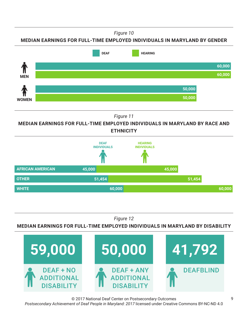*Figure 10*

### **MEDIAN EARNINGS FOR FULL-TIME EMPLOYED INDIVIDUALS IN MARYLAND BY GENDER**



*Figure 11*

**MEDIAN EARNINGS FOR FULL-TIME EMPLOYED INDIVIDUALS IN MARYLAND BY RACE AND ETHNICITY**



*Figure 12*

### **MEDIAN EARNINGS FOR FULL-TIME EMPLOYED INDIVIDUALS IN MARYLAND BY DISABILITY**



© 2017 National Deaf Center on Postsecondary Outcomes *Postsecondary Achievement of Deaf People in Maryland: 2017* licensed under Creative Commons BY-NC-ND 4.0